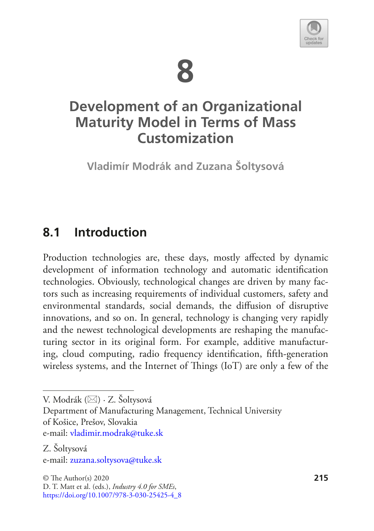



# **Development of an Organizational Maturity Model in Terms of Mass Customization**

**Vladimír Modrák and Zuzana Šoltysová**

## **8.1 Introduction**

Production technologies are, these days, mostly affected by dynamic development of information technology and automatic identifcation technologies. Obviously, technological changes are driven by many factors such as increasing requirements of individual customers, safety and environmental standards, social demands, the difusion of disruptive innovations, and so on. In general, technology is changing very rapidly and the newest technological developments are reshaping the manufacturing sector in its original form. For example, additive manufacturing, cloud computing, radio frequency identifcation, ffth-generation wireless systems, and the Internet of Things (IoT) are only a few of the

V. Modrák ( $\boxtimes$ ) · Z. Šoltysová

Department of Manufacturing Management, Technical University of Košice, Prešov, Slovakia

e-mail: vladimir.modrak@tuke.sk

Z. Šoltysová e-mail: zuzana.soltysova@tuke.sk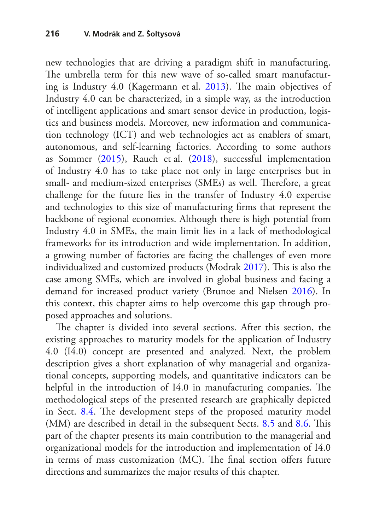new technologies that are driving a paradigm shift in manufacturing. The umbrella term for this new wave of so-called smart manufactur-ing is Industry 4.0 (Kagermann et al. [2013](#page-32-0)). The main objectives of Industry 4.0 can be characterized, in a simple way, as the introduction of intelligent applications and smart sensor device in production, logistics and business models. Moreover, new information and communication technology (ICT) and web technologies act as enablers of smart, autonomous, and self-learning factories. According to some authors as Sommer [\(2015](#page-34-0)), Rauch et al. [\(2018](#page-34-1)), successful implementation of Industry 4.0 has to take place not only in large enterprises but in small- and medium-sized enterprises (SMEs) as well. Therefore, a great challenge for the future lies in the transfer of Industry 4.0 expertise and technologies to this size of manufacturing frms that represent the backbone of regional economies. Although there is high potential from Industry 4.0 in SMEs, the main limit lies in a lack of methodological frameworks for its introduction and wide implementation. In addition, a growing number of factories are facing the challenges of even more individualized and customized products (Modrak [2017](#page-33-0)). This is also the case among SMEs, which are involved in global business and facing a demand for increased product variety (Brunoe and Nielsen [2016](#page-31-0)). In this context, this chapter aims to help overcome this gap through proposed approaches and solutions.

The chapter is divided into several sections. After this section, the existing approaches to maturity models for the application of Industry 4.0 (I4.0) concept are presented and analyzed. Next, the problem description gives a short explanation of why managerial and organizational concepts, supporting models, and quantitative indicators can be helpful in the introduction of I4.0 in manufacturing companies. The methodological steps of the presented research are graphically depicted in Sect. [8.4.](#page-11-0) The development steps of the proposed maturity model (MM) are described in detail in the subsequent Sects. [8.5](#page-12-0) and [8.6](#page-18-0). This part of the chapter presents its main contribution to the managerial and organizational models for the introduction and implementation of I4.0 in terms of mass customization (MC). The final section offers future directions and summarizes the major results of this chapter.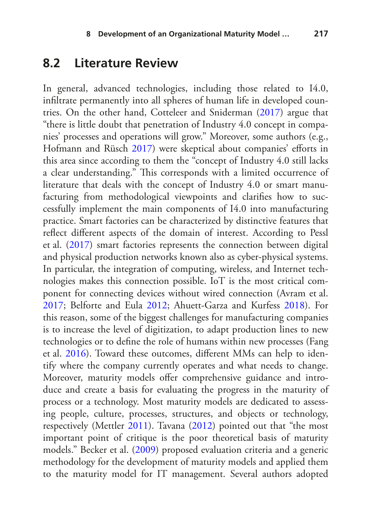### <span id="page-2-0"></span>**8.2 Literature Review**

In general, advanced technologies, including those related to I4.0, infltrate permanently into all spheres of human life in developed countries. On the other hand, Cotteleer and Sniderman ([2017\)](#page-31-1) argue that "there is little doubt that penetration of Industry 4.0 concept in companies' processes and operations will grow." Moreover, some authors (e.g., Hofmann and Rüsch [2017\)](#page-32-1) were skeptical about companies' efforts in this area since according to them the "concept of Industry 4.0 still lacks a clear understanding." This corresponds with a limited occurrence of literature that deals with the concept of Industry 4.0 or smart manufacturing from methodological viewpoints and clarifes how to successfully implement the main components of I4.0 into manufacturing practice. Smart factories can be characterized by distinctive features that refect diferent aspects of the domain of interest. According to Pessl et al. ([2017\)](#page-34-2) smart factories represents the connection between digital and physical production networks known also as cyber-physical systems. In particular, the integration of computing, wireless, and Internet technologies makes this connection possible. IoT is the most critical component for connecting devices without wired connection (Avram et al. [2017](#page-30-0); Belforte and Eula [2012;](#page-30-1) Ahuett-Garza and Kurfess [2018](#page-30-2)). For this reason, some of the biggest challenges for manufacturing companies is to increase the level of digitization, to adapt production lines to new technologies or to defne the role of humans within new processes (Fang et al. [2016\)](#page-31-2). Toward these outcomes, diferent MMs can help to identify where the company currently operates and what needs to change. Moreover, maturity models offer comprehensive guidance and introduce and create a basis for evaluating the progress in the maturity of process or a technology. Most maturity models are dedicated to assessing people, culture, processes, structures, and objects or technology, respectively (Mettler [2011\)](#page-33-1). Tavana [\(2012](#page-34-3)) pointed out that "the most important point of critique is the poor theoretical basis of maturity models." Becker et al. ([2009\)](#page-30-3) proposed evaluation criteria and a generic methodology for the development of maturity models and applied them to the maturity model for IT management. Several authors adopted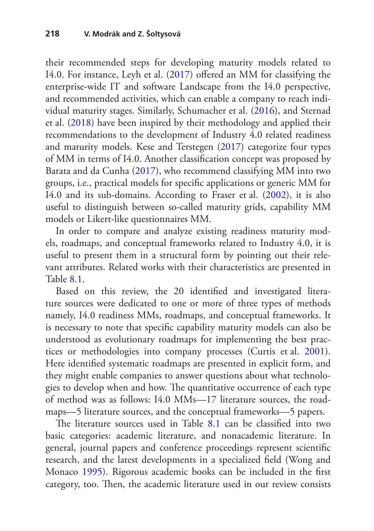their recommended steps for developing maturity models related to I4.0. For instance, Leyh et al. [\(2017](#page-33-2)) ofered an MM for classifying the enterprise-wide IT and software Landscape from the I4.0 perspective, and recommended activities, which can enable a company to reach individual maturity stages. Similarly, Schumacher et al. [\(2016](#page-34-4)), and Sternad et al. [\(2018](#page-34-5)) have been inspired by their methodology and applied their recommendations to the development of Industry 4.0 related readiness and maturity models. Kese and Terstegen [\(2017](#page-32-2)) categorize four types of MM in terms of I4.0. Another classifcation concept was proposed by Barata and da Cunha ([2017\)](#page-30-4), who recommend classifying MM into two groups, i.e., practical models for specifc applications or generic MM for I4.0 and its sub-domains. According to Fraser et al. [\(2002](#page-31-3)), it is also useful to distinguish between so-called maturity grids, capability MM models or Likert-like questionnaires MM.

In order to compare and analyze existing readiness maturity models, roadmaps, and conceptual frameworks related to Industry 4.0, it is useful to present them in a structural form by pointing out their relevant attributes. Related works with their characteristics are presented in Table [8.1](#page-4-0).

Based on this review, the 20 identifed and investigated literature sources were dedicated to one or more of three types of methods namely, I4.0 readiness MMs, roadmaps, and conceptual frameworks. It is necessary to note that specifc capability maturity models can also be understood as evolutionary roadmaps for implementing the best practices or methodologies into company processes (Curtis et al. [2001\)](#page-31-4). Here identifed systematic roadmaps are presented in explicit form, and they might enable companies to answer questions about what technologies to develop when and how. The quantitative occurrence of each type of method was as follows: I4.0 MMs—17 literature sources, the roadmaps—5 literature sources, and the conceptual frameworks—5 papers.

The literature sources used in Table  $8.1$  can be classified into two basic categories: academic literature, and nonacademic literature. In general, journal papers and conference proceedings represent scientifc research, and the latest developments in a specialized feld (Wong and Monaco [1995\)](#page-34-6). Rigorous academic books can be included in the frst category, too. Then, the academic literature used in our review consists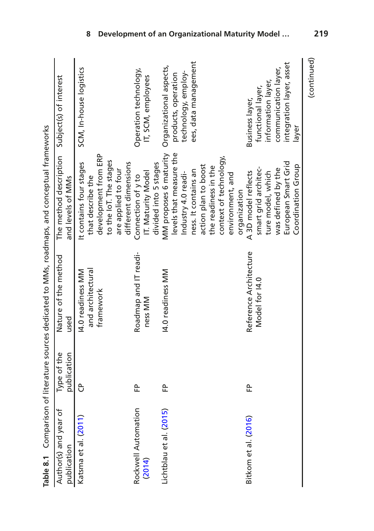<span id="page-4-0"></span>

|                                      |                            | Table 8.1 Comparison of literature sources dedicated to MMs, roadmaps, and conceptual frameworks |                                                                                                                                                                                                                |                                                                                                                         |
|--------------------------------------|----------------------------|--------------------------------------------------------------------------------------------------|----------------------------------------------------------------------------------------------------------------------------------------------------------------------------------------------------------------|-------------------------------------------------------------------------------------------------------------------------|
| Author(s) and year of<br>publication | Type of the<br>publication | Nature of the method<br>used                                                                     | The method description Subject(s) of interest<br>and levels of MMs                                                                                                                                             |                                                                                                                         |
| Katsma et al. (2011)                 | පි                         | and architectural<br>14.0 readiness MM<br>framework                                              | development from ERP<br>to the loT. The stages<br>It contains four stages<br>different dimensions<br>are applied to four<br>that describe the                                                                  | SCM, In-house logistics                                                                                                 |
| Rockwell Automation<br>(2014)        | 운                          | Roadmap and IT readi-<br>ness MM                                                                 | divided into 5 stages<br>IT. Maturity Model<br>Connection of y to                                                                                                                                              | Operation technology,<br>IT, SCM, employees                                                                             |
| Lichtblau et al. (2015)              | 운                          | 14.0 readiness MM                                                                                | MM proposes 6 maturity<br>levels that measure the<br>context of technology,<br>action plan to boost<br>the readiness in the<br>ness. It contains an<br>Industry 4.0 readi-<br>environment, and<br>organization | ees, data management<br>Organizational aspects,<br>technology, employ-<br>products, operation                           |
| Bitkom et al. (2016)                 | 운                          | Reference Architecture<br>Model for 14.0                                                         | European Smart Grid<br>Coordination Group<br>smart grid architec-<br>was defined by the<br>A3D model reflects<br>ture model, which                                                                             | integration layer, asset<br>communication layer,<br>information layer,<br>functional layer,<br>Business layer,<br>layer |
|                                      |                            |                                                                                                  |                                                                                                                                                                                                                | (continued)                                                                                                             |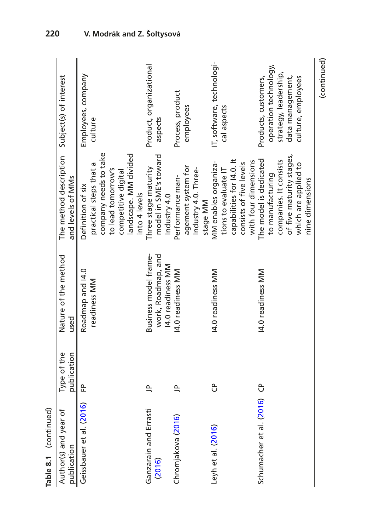| (continued)               |                                               |                       |             |                          |
|---------------------------|-----------------------------------------------|-----------------------|-------------|--------------------------|
|                           | nine dimensions                               |                       |             |                          |
| culture, employees        | which are applied to                          |                       |             |                          |
| data management,          | of five maturity stages,                      |                       |             |                          |
| strategy, leadership,     | companies. It consists                        |                       |             |                          |
| operation technology,     | to manufacturing                              |                       |             |                          |
| Products, customers,      | The model is dedicated                        | 14.0 readiness MM     | පි          | Schumacher et al. (2016) |
|                           | with four dimensions                          |                       |             |                          |
|                           | consists of five levels                       |                       |             |                          |
|                           | capabilities for 14.0. It                     |                       |             |                          |
| cal aspects               | tions to evaluate IT                          |                       |             |                          |
| IT, software, technologi- | MM enables organiza-                          | I4.0 readiness MM     | ჭ           | Leyh et al. (2016)       |
|                           | stage MM                                      |                       |             |                          |
|                           | Industry 4.0. Three-                          |                       |             |                          |
| employees                 | agement system for                            |                       |             |                          |
| Process, product          | Performance man-                              | 14.0 readiness MM     | $\equiv$    | Chromjakova (2016)       |
|                           | Industry 4.0                                  | 14.0 readiness MM     |             |                          |
| aspects                   | model in SME's toward                         | work, Roadmap, and    |             | (2016)                   |
| Product, organizational   | Three stage maturity                          | Business model frame- | $\approx$   | Ganzarain and Errasti    |
|                           | into 4 levels                                 |                       |             |                          |
|                           | landscape. MM divided                         |                       |             |                          |
|                           | competitive digital                           |                       |             |                          |
|                           | to lead tomorrow's                            |                       |             |                          |
|                           | company needs to take                         |                       |             |                          |
| culture                   | practical steps that a                        | readiness MM          |             |                          |
| Employees, company        | Definition of six                             | Roadmap and 14.0      | 운           | Geissbauer et al. (2016) |
|                           | and levels of MMs                             | used                  | publication | publication              |
|                           | The method description Subject(s) of interest | Nature of the method  | Type of the | Author(s) and year of    |
|                           |                                               |                       |             | Table 8.1 (continued)    |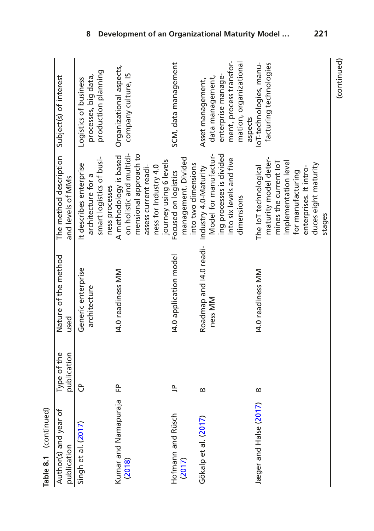| Table 8.1 (continued)                |                            |                                    |                                                                                                                                                                                  |                                                                                                                             |
|--------------------------------------|----------------------------|------------------------------------|----------------------------------------------------------------------------------------------------------------------------------------------------------------------------------|-----------------------------------------------------------------------------------------------------------------------------|
| Author(s) and year of<br>publication | publication<br>Type of the | Nature of the method<br>used       | The method description Subject(s) of interest<br>and levels of MMs                                                                                                               |                                                                                                                             |
| Singh et al. (2017)                  | ზ                          | Generic enterprise<br>architecture | smart logistics of busi-<br>It describes enterprise<br>architecture for a<br>ness processes                                                                                      | production planning<br>processes, big data,<br>Logistics of business                                                        |
| Kumar and Namapuraja<br>(2018)       | ᡄ                          | 14.0 readiness MM                  | on holistic and multidi-<br>mensional approach to<br>A methodology is based<br>journey using 6 levels<br>assess current readi-<br>ness for Industry 4.0                          | Organizational aspects,<br>company culture, IS                                                                              |
| Hofmann and Rüsch<br>(2017)          | $\approx$                  | 14.0 application model             | management. Divided<br>into two dimensions<br>Focused on logistics                                                                                                               | SCM, data management                                                                                                        |
| Gökalp et al. (2017)                 | $\mathbf{a}$               | Roadmap and I4.0 readi-<br>ness MM | ing processes is divided<br>Model for manufactur-<br>into six levels and five<br>Industry 4.0-Maturity<br>dimensions                                                             | ment, process transfor-<br>mation, organizational<br>enterprise manage-<br>data management,<br>Asset management,<br>aspects |
| Jæger and Halse (2017)               | m                          | 14.0 readiness MM                  | maturity model deter-<br>mines the current loT<br>implementation level<br>duces eight maturity<br>The IoT technological<br>enterprises. It intro-<br>for manufacturing<br>stages | loT-technologies, manu-<br>facturing technologies                                                                           |

(continued)

(continued)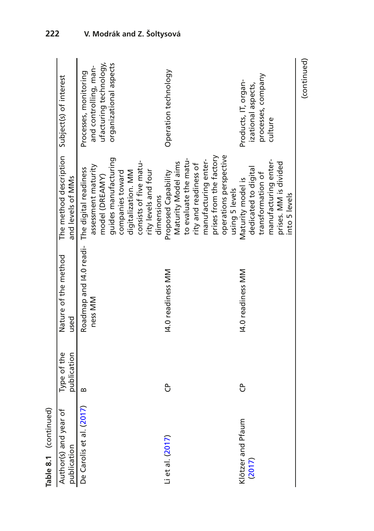| Table 8.1 (continued)                |                            |                                    |                                                                                                                  |                                                                          |
|--------------------------------------|----------------------------|------------------------------------|------------------------------------------------------------------------------------------------------------------|--------------------------------------------------------------------------|
| Author(s) and year of<br>publication | Type of the<br>publication | Nature of the method<br>used       | The method description Subject(s) of interest<br>and levels of MMs                                               |                                                                          |
| De Carolis et al. (2017)             | $\infty$                   | Roadmap and I4.0 readi-<br>ness MM | assessment maturity<br>The digital readiness<br>model (DREAMY)                                                   | ufacturing technology,<br>and controlling, man-<br>Processes, monitoring |
|                                      |                            |                                    | guides manufacturing<br>consists of five matu-<br>rity levels and four<br>companies toward<br>digitalization. MM | organizational aspects                                                   |
|                                      |                            |                                    | dimensions                                                                                                       |                                                                          |
| Li et al. (2017)                     | පි                         | 14.0 readiness MM                  | Maturity Model aims<br>Proposed Capability                                                                       | Operation technology                                                     |
|                                      |                            |                                    | to evaluate the matu-                                                                                            |                                                                          |
|                                      |                            |                                    | rity and readiness of                                                                                            |                                                                          |
|                                      |                            |                                    | manufacturing enter-                                                                                             |                                                                          |
|                                      |                            |                                    | prises from the factory                                                                                          |                                                                          |
|                                      |                            |                                    | operations perspective                                                                                           |                                                                          |
|                                      |                            |                                    | using 5 levels                                                                                                   |                                                                          |
| Klötzer and Pfaum                    | පි                         | 14.0 readiness MM                  | Maturity model is                                                                                                | Products, IT, organ-                                                     |
| (2017)                               |                            |                                    | dedicated to digital                                                                                             | izational aspects,                                                       |
|                                      |                            |                                    | transformation of                                                                                                | processes, company                                                       |
|                                      |                            |                                    | manufacturing enter-                                                                                             | culture                                                                  |
|                                      |                            |                                    | prises. MM is divided                                                                                            |                                                                          |
|                                      |                            |                                    | into 5 levels                                                                                                    |                                                                          |
|                                      |                            |                                    |                                                                                                                  | (continued)                                                              |

**222 V. Modrák and Z. Šoltysová**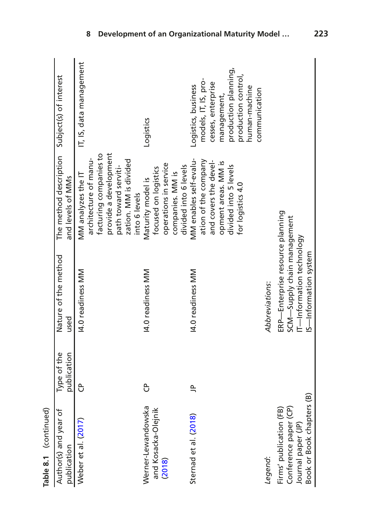| Table 8.1 (continued)                                                                               |                            |                                                                                                                       |                                                                                                                                                                  |                                                                                                                                                                   |
|-----------------------------------------------------------------------------------------------------|----------------------------|-----------------------------------------------------------------------------------------------------------------------|------------------------------------------------------------------------------------------------------------------------------------------------------------------|-------------------------------------------------------------------------------------------------------------------------------------------------------------------|
| Author(s) and year of<br>publication                                                                | Type of the<br>publication | Nature of the method<br>used                                                                                          | The method description Subject(s) of interest<br>and levels of MMs                                                                                               |                                                                                                                                                                   |
| Weber et al. (2017)                                                                                 | ჭ                          | 14.0 readiness MM                                                                                                     | provide a development<br>facturing companies to<br>architecture of manu-<br>zation. MM is divided<br>path toward serviti-<br>MM analyzes the IT<br>into 6 levels | IT, IS, data management                                                                                                                                           |
| Werner-Lewandowska<br>and Kosacka-Olejnik<br>(2018)                                                 | ჭ                          | 14.0 readiness MM                                                                                                     | operations in service<br>divided into 6 levels<br>focused on logistics<br>companies. MM is<br>Maturity model is                                                  | Logistics                                                                                                                                                         |
| Sternad et al. (2018)                                                                               | $\cong$                    | 14.0 readiness MM                                                                                                     | MM enables self-evalu-<br>ation of the company<br>and covers the devel-<br>opment areas. MM is<br>divided into 5 levels<br>for logistics 4.0                     | production planning,<br>production control,<br>models, IT, IS, pro-<br>cesses, enterprise<br>Logistics, business<br>human-machine<br>communication<br>management, |
| Legend:                                                                                             |                            | Abbreviations:                                                                                                        |                                                                                                                                                                  |                                                                                                                                                                   |
| Book or Book chapters (B)<br>Firms' publication (FB)<br>Conference paper (CP)<br>Journal paper (JP) |                            | ERP-Enterprise resource planning<br>SCM-Supply chain management<br>IT-Information technology<br>IS-Information system |                                                                                                                                                                  |                                                                                                                                                                   |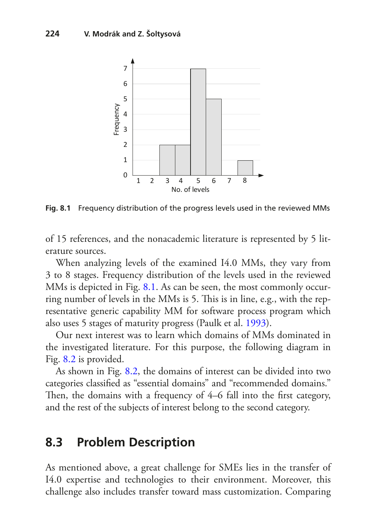

<span id="page-9-0"></span>**Fig. 8.1** Frequency distribution of the progress levels used in the reviewed MMs

of 15 references, and the nonacademic literature is represented by 5 literature sources.

When analyzing levels of the examined I4.0 MMs, they vary from 3 to 8 stages. Frequency distribution of the levels used in the reviewed MMs is depicted in Fig. [8.1.](#page-9-0) As can be seen, the most commonly occurring number of levels in the MMs is 5. This is in line, e.g., with the representative generic capability MM for software process program which also uses 5 stages of maturity progress (Paulk et al. [1993\)](#page-33-7).

Our next interest was to learn which domains of MMs dominated in the investigated literature. For this purpose, the following diagram in Fig. [8.2](#page-10-0) is provided.

As shown in Fig. [8.2](#page-10-0), the domains of interest can be divided into two categories classifed as "essential domains" and "recommended domains." Then, the domains with a frequency of 4–6 fall into the first category, and the rest of the subjects of interest belong to the second category.

### **8.3 Problem Description**

As mentioned above, a great challenge for SMEs lies in the transfer of I4.0 expertise and technologies to their environment. Moreover, this challenge also includes transfer toward mass customization. Comparing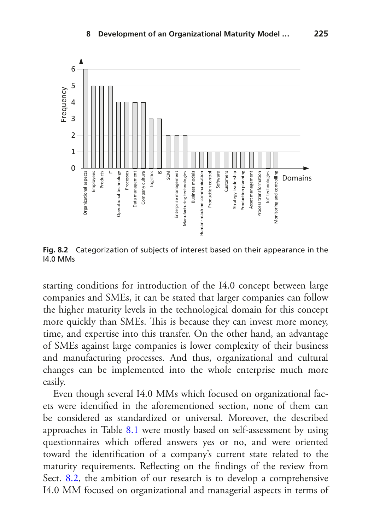

<span id="page-10-0"></span>**Fig. 8.2** Categorization of subjects of interest based on their appearance in the I4.0 MMs

starting conditions for introduction of the I4.0 concept between large companies and SMEs, it can be stated that larger companies can follow the higher maturity levels in the technological domain for this concept more quickly than SMEs. This is because they can invest more money, time, and expertise into this transfer. On the other hand, an advantage of SMEs against large companies is lower complexity of their business and manufacturing processes. And thus, organizational and cultural changes can be implemented into the whole enterprise much more easily.

Even though several I4.0 MMs which focused on organizational facets were identifed in the aforementioned section, none of them can be considered as standardized or universal. Moreover, the described approaches in Table [8.1](#page-4-0) were mostly based on self-assessment by using questionnaires which offered answers yes or no, and were oriented toward the identifcation of a company's current state related to the maturity requirements. Refecting on the fndings of the review from Sect. [8.2,](#page-2-0) the ambition of our research is to develop a comprehensive I4.0 MM focused on organizational and managerial aspects in terms of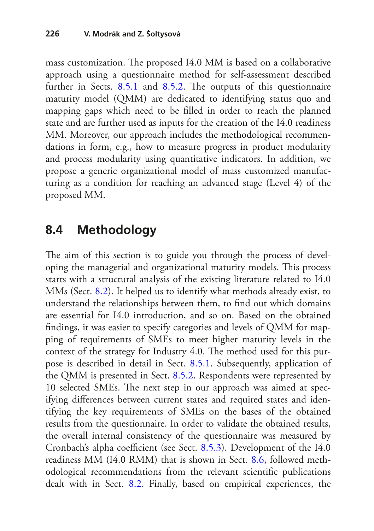mass customization. The proposed I4.0 MM is based on a collaborative approach using a questionnaire method for self-assessment described further in Sects.  $8.5.1$  and  $8.5.2$ . The outputs of this questionnaire maturity model (QMM) are dedicated to identifying status quo and mapping gaps which need to be flled in order to reach the planned state and are further used as inputs for the creation of the I4.0 readiness MM. Moreover, our approach includes the methodological recommendations in form, e.g., how to measure progress in product modularity and process modularity using quantitative indicators. In addition, we propose a generic organizational model of mass customized manufacturing as a condition for reaching an advanced stage (Level 4) of the proposed MM.

## <span id="page-11-0"></span>**8.4 Methodology**

The aim of this section is to guide you through the process of developing the managerial and organizational maturity models. This process starts with a structural analysis of the existing literature related to I4.0 MMs (Sect. [8.2](#page-2-0)). It helped us to identify what methods already exist, to understand the relationships between them, to fnd out which domains are essential for I4.0 introduction, and so on. Based on the obtained fndings, it was easier to specify categories and levels of QMM for mapping of requirements of SMEs to meet higher maturity levels in the context of the strategy for Industry 4.0. The method used for this purpose is described in detail in Sect. [8.5.1](#page-12-1). Subsequently, application of the QMM is presented in Sect. [8.5.2.](#page-12-2) Respondents were represented by 10 selected SMEs. The next step in our approach was aimed at specifying diferences between current states and required states and identifying the key requirements of SMEs on the bases of the obtained results from the questionnaire. In order to validate the obtained results, the overall internal consistency of the questionnaire was measured by Cronbach's alpha coefficient (see Sect. [8.5.3](#page-15-0)). Development of the I4.0 readiness MM (I4.0 RMM) that is shown in Sect. [8.6](#page-18-0), followed methodological recommendations from the relevant scientifc publications dealt with in Sect. [8.2.](#page-2-0) Finally, based on empirical experiences, the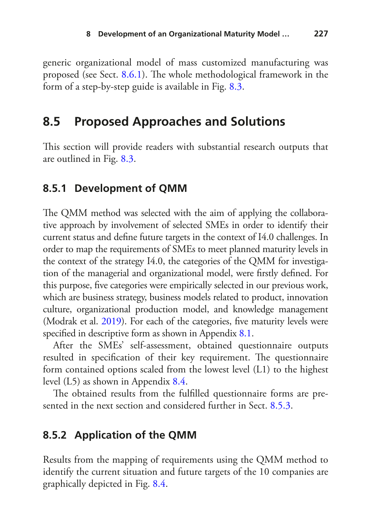generic organizational model of mass customized manufacturing was proposed (see Sect. [8.6.1](#page-19-0)). The whole methodological framework in the form of a step-by-step guide is available in Fig. [8.3.](#page-13-0)

## <span id="page-12-0"></span>**8.5 Proposed Approaches and Solutions**

This section will provide readers with substantial research outputs that are outlined in Fig. [8.3.](#page-13-0)

#### <span id="page-12-1"></span>**8.5.1 Development of QMM**

The QMM method was selected with the aim of applying the collaborative approach by involvement of selected SMEs in order to identify their current status and defne future targets in the context of I4.0 challenges. In order to map the requirements of SMEs to meet planned maturity levels in the context of the strategy I4.0, the categories of the QMM for investigation of the managerial and organizational model, were frstly defned. For this purpose, fve categories were empirically selected in our previous work, which are business strategy, business models related to product, innovation culture, organizational production model, and knowledge management (Modrak et al. [2019](#page-33-8)). For each of the categories, five maturity levels were specifed in descriptive form as shown in Appendix [8.1](#page-26-0).

After the SMEs' self-assessment, obtained questionnaire outputs resulted in specification of their key requirement. The questionnaire form contained options scaled from the lowest level (L1) to the highest level (L5) as shown in Appendix [8.4](#page-29-0).

The obtained results from the fulfilled questionnaire forms are presented in the next section and considered further in Sect. [8.5.3](#page-15-0).

#### <span id="page-12-2"></span>**8.5.2 Application of the QMM**

Results from the mapping of requirements using the QMM method to identify the current situation and future targets of the 10 companies are graphically depicted in Fig. [8.4.](#page-14-0)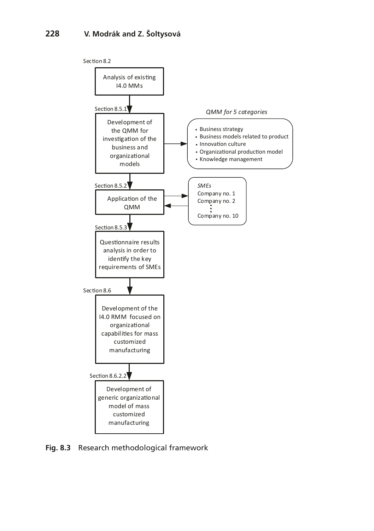

<span id="page-13-0"></span>**Fig. 8.3** Research methodological framework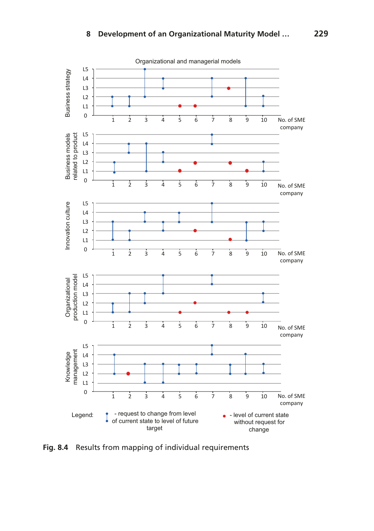

<span id="page-14-0"></span>**Fig. 8.4** Results from mapping of individual requirements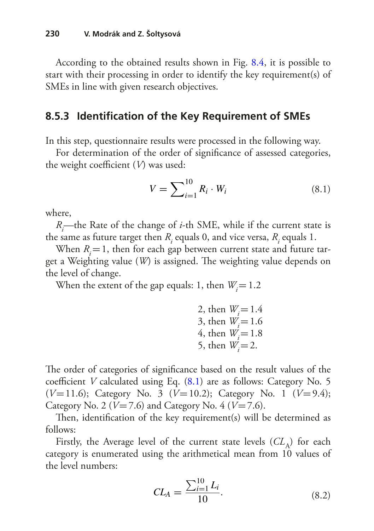According to the obtained results shown in Fig. [8.4](#page-14-0), it is possible to start with their processing in order to identify the key requirement(s) of SMEs in line with given research objectives.

#### <span id="page-15-0"></span>**8.5.3 Identifcation of the Key Requirement of SMEs**

In this step, questionnaire results were processed in the following way.

For determination of the order of signifcance of assessed categories, the weight coefficient  $(V)$  was used:

<span id="page-15-1"></span>
$$
V = \sum_{i=1}^{10} R_i \cdot W_i
$$
 (8.1)

where,

*Ri* —the Rate of the change of *i*-th SME, while if the current state is the same as future target then  $R_i$  equals 0, and vice versa,  $R_i$  equals 1.

When  $R_i = 1$ , then for each gap between current state and future target a Weighting value (*W*) is assigned. The weighting value depends on the level of change.

When the extent of the gap equals: 1, then  $W_i = 1.2$ 

2, then 
$$
W_i = 1.4
$$
  
3, then  $W_i = 1.6$   
4, then  $W_i = 1.8$   
5, then  $W_i = 2$ .

The order of categories of significance based on the result values of the coefficient *V* calculated using Eq. [\(8.1](#page-15-1)) are as follows: Category No. 5 (*V*=11.6); Category No. 3 (*V*=10.2); Category No. 1 (*V*=9.4); Category No. 2 ( $V=7.6$ ) and Category No. 4 ( $V=7.6$ ).

Then, identification of the key requirement(s) will be determined as follows:

Firstly, the Average level of the current state levels  $CL_A$ ) for each category is enumerated using the arithmetical mean from 10 values of the level numbers:

$$
CL_A = \frac{\sum_{i=1}^{10} L_i}{10}.
$$
\n(8.2)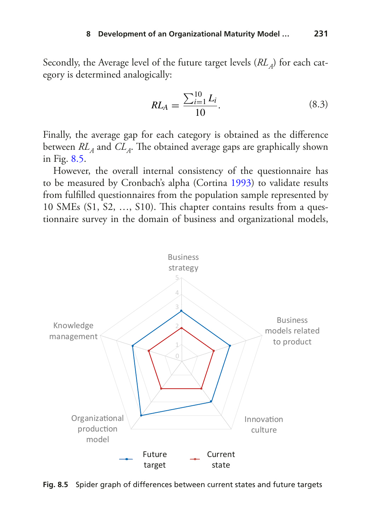Secondly, the Average level of the future target levels (*RL*<sub>A</sub>) for each category is determined analogically:

$$
RL_A = \frac{\sum_{i=1}^{10} L_i}{10}.
$$
 (8.3)

Finally, the average gap for each category is obtained as the diference between  $RL<sub>A</sub>$  and  $CL<sub>A</sub>$ . The obtained average gaps are graphically shown in Fig. [8.5](#page-16-0).

However, the overall internal consistency of the questionnaire has to be measured by Cronbach's alpha (Cortina [1993](#page-31-9)) to validate results from fulflled questionnaires from the population sample represented by 10 SMEs (S1, S2, …, S10). Tis chapter contains results from a questionnaire survey in the domain of business and organizational models,



<span id="page-16-0"></span>**Fig. 8.5** Spider graph of differences between current states and future targets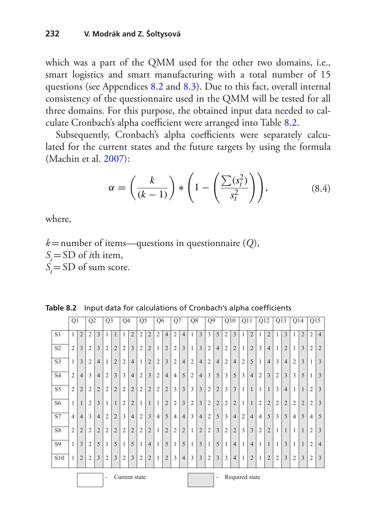which was a part of the QMM used for the other two domains, i.e., smart logistics and smart manufacturing with a total number of 15 questions (see Appendices [8.2](#page-27-0) and [8.3](#page-28-0)). Due to this fact, overall internal consistency of the questionnaire used in the QMM will be tested for all three domains. For this purpose, the obtained input data needed to cal-culate Cronbach's alpha coefficient were arranged into Table [8.2](#page-17-0).

Subsequently, Cronbach's alpha coefficients were separately calculated for the current states and the future targets by using the formula (Machin et al. [2007](#page-33-9)):

$$
\alpha = \left(\frac{k}{(k-1)}\right) * \left(1 - \left(\frac{\sum(s_i^2)}{s_i^2}\right)\right),\tag{8.4}
$$

where,

*k*=number of items—questions in questionnaire (*Q*),  $S_i = SD$  of *i*th item,  $S_t = SD$  of sum score.

|                 | Q <sub>1</sub> |                | Q2             |                | Q <sub>3</sub> |                | Q4                      |                | Q <sub>5</sub> |                | Q <sub>6</sub> |                | Q7             |                | Q8             |                | Q <sub>9</sub> |                | Q10            |                         | Q11            |                | Q12            |                | Q13            |                | Q14            |                | Q15            |                |
|-----------------|----------------|----------------|----------------|----------------|----------------|----------------|-------------------------|----------------|----------------|----------------|----------------|----------------|----------------|----------------|----------------|----------------|----------------|----------------|----------------|-------------------------|----------------|----------------|----------------|----------------|----------------|----------------|----------------|----------------|----------------|----------------|
| S1              | 1              | $\overline{2}$ | $\overline{2}$ | 3              | 1              | $\mathbf{1}$   | 1                       | $\overline{2}$ | $\overline{2}$ | $\overline{2}$ | $\overline{2}$ | $\overline{4}$ | $\overline{2}$ | $\overline{4}$ |                | 3              | 3              | 5              | $\overline{2}$ | $\overline{3}$          |                | $\overline{2}$ | 1              | $\overline{2}$ |                | 3              | 1              | $\overline{2}$ | $\overline{c}$ | $\overline{4}$ |
| S <sub>2</sub>  | $\overline{2}$ | 3              | $\overline{2}$ | 3              | $\overline{2}$ | $\overline{2}$ | $\overline{2}$          | 3              | $\overline{2}$ | $\overline{2}$ | $\mathbf{1}$   | $\overline{2}$ | $\overline{2}$ | $\overline{3}$ | 1              | 3              | $\overline{2}$ | $\overline{4}$ | $\overline{c}$ | $\overline{2}$          |                | $\overline{2}$ | 3              | $\overline{4}$ |                | $\overline{2}$ | $\mathbf{1}$   | 3              | $\overline{2}$ | $\overline{2}$ |
| S <sub>3</sub>  |                | 3              | $\overline{2}$ | $\overline{4}$ |                | $\overline{2}$ | $\overline{2}$          | $\overline{4}$ | 1              | $\overline{2}$ | $\overline{2}$ | $\overline{3}$ | $\overline{2}$ | $\overline{4}$ | $\overline{2}$ | $\overline{4}$ | $\overline{2}$ | $\overline{4}$ | $\overline{c}$ | $\overline{4}$          | $\overline{2}$ | 5              | 1              | $\overline{4}$ | 3              | $\overline{4}$ | $\overline{2}$ | $\overline{3}$ | $\mathbf{1}$   | $\overline{3}$ |
| <b>S4</b>       | $\overline{2}$ | $\overline{4}$ | 3              | $\overline{4}$ | $\overline{2}$ | 3              | $\overline{\mathbf{3}}$ | $\overline{4}$ | $\overline{2}$ | $\overline{3}$ | $\overline{2}$ | $\overline{4}$ | $\overline{4}$ | 5              | $\overline{c}$ | $\overline{4}$ | 3              | 5              | 3              | 5                       | 3              | $\overline{4}$ | $\overline{2}$ | $\overline{3}$ | $\overline{2}$ | 3              | $\overline{3}$ | 5              | $\mathbf{1}$   | $\overline{3}$ |
| $\overline{S5}$ | $\overline{2}$ | $\overline{2}$ | $\overline{2}$ | $\overline{2}$ | $\overline{2}$ | $\overline{2}$ | $\overline{2}$          | $\overline{2}$ | $\overline{2}$ | $\overline{2}$ | $\overline{2}$ | $\overline{2}$ | 3              | $\overline{3}$ | 3              | 3              | $\overline{2}$ | $\overline{2}$ | 3              | $\overline{\mathbf{3}}$ | $\mathbf{1}$   | $\mathbf{1}$   | $\mathbf{1}$   |                | 3              | $\overline{4}$ | $\mathbf{1}$   | 1              | $\overline{2}$ | $\overline{3}$ |
| S <sub>6</sub>  | $\mathbf{1}$   | $\mathbf{1}$   | $\overline{2}$ | $\overline{3}$ | 1              | $\mathbf{1}$   | $\overline{2}$          | $\overline{2}$ | 1              | $\mathbf{1}$   | $\mathbf{1}$   | $\overline{2}$ | $\overline{2}$ | $\overline{3}$ | $\overline{2}$ | 3              | $\overline{2}$ | $\overline{2}$ | $\overline{2}$ | $\overline{2}$          | $\mathbf{1}$   | $\mathbf{1}$   | $\overline{2}$ | $\overline{2}$ | $\overline{2}$ | $\overline{2}$ | $\overline{2}$ | $\overline{2}$ | $\overline{2}$ | $\overline{3}$ |
| <b>S7</b>       | $\overline{4}$ | $\overline{4}$ | 3              | $\overline{4}$ | $\overline{2}$ | $\overline{2}$ | 3                       | $\overline{4}$ | $\overline{2}$ | $\overline{3}$ | $\overline{4}$ | 5              | $\overline{4}$ | $\overline{4}$ | 3              | $\overline{4}$ | $\overline{2}$ | 5              | 3              | $\overline{4}$          | $\overline{2}$ | $\overline{4}$ | $\overline{4}$ | 5              | 3              | 5              | 4              | 5              | $\overline{4}$ | 5              |
| S8              | $\overline{2}$ | $\overline{2}$ | $\overline{2}$ | $\overline{2}$ | $\overline{2}$ | $\overline{2}$ | $\overline{2}$          | $\overline{2}$ | $\overline{2}$ | $\overline{2}$ | 1              | $\overline{2}$ | $\overline{2}$ | $\overline{2}$ | $\mathbf{1}$   | $\overline{2}$ | $\overline{2}$ | $\overline{3}$ | $\overline{2}$ | $\overline{2}$          | 3              | $\overline{3}$ | $\overline{2}$ | $\overline{2}$ | 1              | $\mathbf{1}$   | $\overline{1}$ | 1              | $\overline{2}$ | $\overline{3}$ |
| S9              | 1              | $\overline{3}$ | $\overline{2}$ | 5              | $\mathbf{1}$   | 5              | $\mathbf{1}$            | 5              | $\mathbf{1}$   | $\overline{4}$ | 1              | 5              | $\mathbf{1}$   | 5              | $\mathbf{1}$   | 5              | $\mathbf{1}$   | 5              | $\mathbf{1}$   | $\overline{4}$          | 1              | $\overline{4}$ | 1              | $\mathbf{1}$   | $\mathbf{1}$   | 3              | $\mathbf{1}$   | $\mathbf{1}$   | $\overline{2}$ | $\overline{4}$ |
| S <sub>10</sub> | 1              | $\overline{2}$ | $\overline{2}$ | $\overline{3}$ | $\overline{2}$ | $\overline{3}$ | $\overline{2}$          | $\overline{3}$ | $\overline{2}$ | $\overline{2}$ | 1              | $\overline{2}$ | 3              | $\overline{4}$ | 3              | 3              | $\overline{2}$ | $\overline{3}$ | 3              | $\overline{4}$          | 1              | $\overline{2}$ | 1              | $\overline{2}$ | $\overline{2}$ | 3              | $\overline{2}$ | $\overline{3}$ | $\overline{2}$ | $\overline{3}$ |
|                 |                |                |                |                | ۰              |                |                         |                | Current state  |                |                |                |                |                |                |                |                | ٠              |                |                         | Required state |                |                |                |                |                |                |                |                |                |

<span id="page-17-0"></span>**Table 8.2** Input data for calculations of Cronbach's alpha coefficients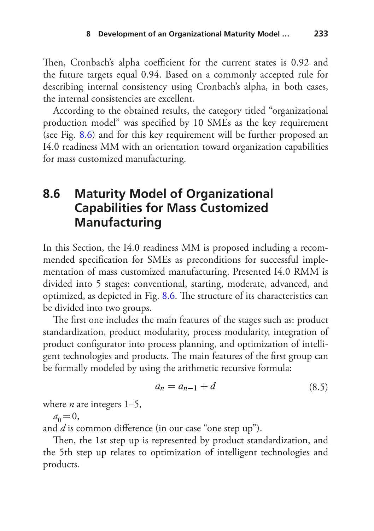Then, Cronbach's alpha coefficient for the current states is 0.92 and the future targets equal 0.94. Based on a commonly accepted rule for describing internal consistency using Cronbach's alpha, in both cases, the internal consistencies are excellent.

According to the obtained results, the category titled "organizational production model" was specifed by 10 SMEs as the key requirement (see Fig. [8.6](#page-19-1)) and for this key requirement will be further proposed an I4.0 readiness MM with an orientation toward organization capabilities for mass customized manufacturing.

## <span id="page-18-0"></span>**8.6 Maturity Model of Organizational Capabilities for Mass Customized Manufacturing**

In this Section, the I4.0 readiness MM is proposed including a recommended specifcation for SMEs as preconditions for successful implementation of mass customized manufacturing. Presented I4.0 RMM is divided into 5 stages: conventional, starting, moderate, advanced, and optimized, as depicted in Fig. [8.6](#page-19-1). The structure of its characteristics can be divided into two groups.

The first one includes the main features of the stages such as: product standardization, product modularity, process modularity, integration of product confgurator into process planning, and optimization of intelligent technologies and products. The main features of the first group can be formally modeled by using the arithmetic recursive formula:

$$
a_n = a_{n-1} + d \tag{8.5}
$$

where *n* are integers 1–5,

$$
a_0 = 0,
$$

and *d* is common diference (in our case "one step up").

Then, the 1st step up is represented by product standardization, and the 5th step up relates to optimization of intelligent technologies and products.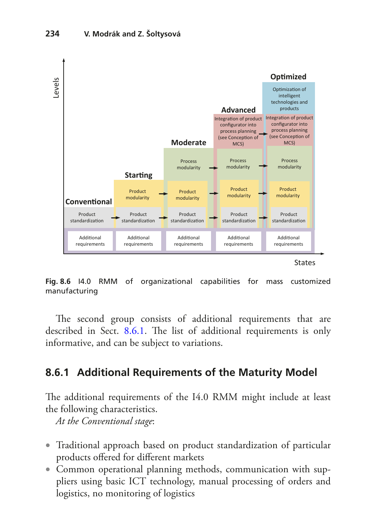

<span id="page-19-1"></span>**Fig. 8.6** I4.0 RMM of organizational capabilities for mass customized manufacturing

The second group consists of additional requirements that are described in Sect. [8.6.1](#page-19-0). The list of additional requirements is only informative, and can be subject to variations.

### <span id="page-19-0"></span>**8.6.1 Additional Requirements of the Maturity Model**

The additional requirements of the I4.0 RMM might include at least the following characteristics.

*At the Conventional stage*:

- Traditional approach based on product standardization of particular products ofered for diferent markets
- Common operational planning methods, communication with suppliers using basic ICT technology, manual processing of orders and logistics, no monitoring of logistics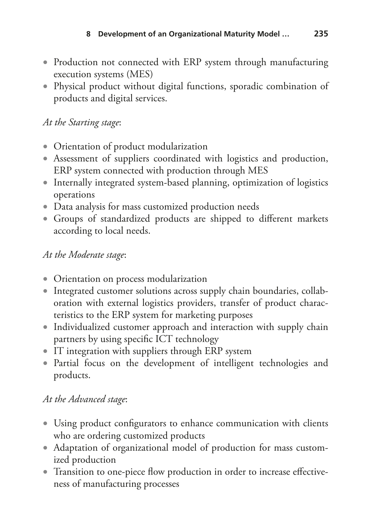- Production not connected with ERP system through manufacturing execution systems (MES)
- Physical product without digital functions, sporadic combination of products and digital services.

#### *At the Starting stage*:

- Orientation of product modularization
- Assessment of suppliers coordinated with logistics and production, ERP system connected with production through MES
- Internally integrated system-based planning, optimization of logistics operations
- Data analysis for mass customized production needs
- Groups of standardized products are shipped to diferent markets according to local needs.

#### *At the Moderate stage*:

- Orientation on process modularization
- Integrated customer solutions across supply chain boundaries, collaboration with external logistics providers, transfer of product characteristics to the ERP system for marketing purposes
- Individualized customer approach and interaction with supply chain partners by using specifc ICT technology
- IT integration with suppliers through ERP system
- Partial focus on the development of intelligent technologies and products.

### *At the Advanced stage*:

- Using product confgurators to enhance communication with clients who are ordering customized products
- Adaptation of organizational model of production for mass customized production
- Transition to one-piece flow production in order to increase effectiveness of manufacturing processes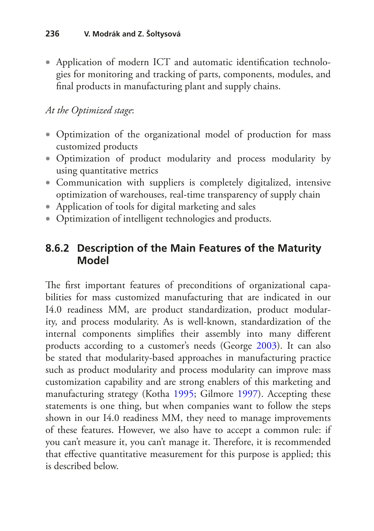• Application of modern ICT and automatic identifcation technologies for monitoring and tracking of parts, components, modules, and fnal products in manufacturing plant and supply chains.

#### *At the Optimized stage*:

- Optimization of the organizational model of production for mass customized products
- Optimization of product modularity and process modularity by using quantitative metrics
- Communication with suppliers is completely digitalized, intensive optimization of warehouses, real-time transparency of supply chain
- Application of tools for digital marketing and sales
- Optimization of intelligent technologies and products.

### **8.6.2 Description of the Main Features of the Maturity Model**

The first important features of preconditions of organizational capabilities for mass customized manufacturing that are indicated in our I4.0 readiness MM, are product standardization, product modularity, and process modularity. As is well-known, standardization of the internal components simplifes their assembly into many diferent products according to a customer's needs (George [2003\)](#page-31-10). It can also be stated that modularity-based approaches in manufacturing practice such as product modularity and process modularity can improve mass customization capability and are strong enablers of this marketing and manufacturing strategy (Kotha [1995;](#page-32-7) Gilmore [1997](#page-32-8)). Accepting these statements is one thing, but when companies want to follow the steps shown in our I4.0 readiness MM, they need to manage improvements of these features. However, we also have to accept a common rule: if you can't measure it, you can't manage it. Therefore, it is recommended that efective quantitative measurement for this purpose is applied; this is described below.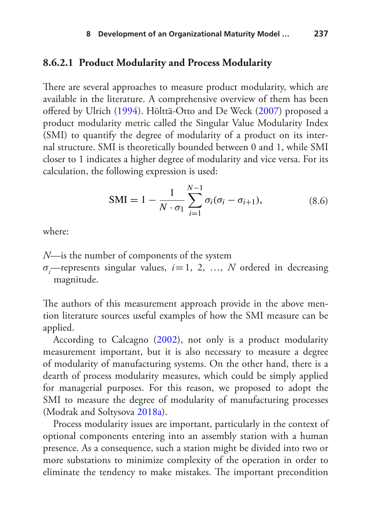#### **8.6.2.1 Product Modularity and Process Modularity**

There are several approaches to measure product modularity, which are available in the literature. A comprehensive overview of them has been ofered by Ulrich ([1994\)](#page-34-11). Hölttä-Otto and De Weck [\(2007](#page-32-9)) proposed a product modularity metric called the Singular Value Modularity Index (SMI) to quantify the degree of modularity of a product on its internal structure. SMI is theoretically bounded between 0 and 1, while SMI closer to 1 indicates a higher degree of modularity and vice versa. For its calculation, the following expression is used:

$$
SMI = 1 - \frac{1}{N \cdot \sigma_1} \sum_{i=1}^{N-1} \sigma_i (\sigma_i - \sigma_{i+1}),
$$
\n(8.6)

where:

- *N*—is the number of components of the system
- *σi* —represents singular values, *i*=1, 2, …, *N* ordered in decreasing magnitude.

The authors of this measurement approach provide in the above mention literature sources useful examples of how the SMI measure can be applied.

According to Calcagno ([2002\)](#page-31-11), not only is a product modularity measurement important, but it is also necessary to measure a degree of modularity of manufacturing systems. On the other hand, there is a dearth of process modularity measures, which could be simply applied for managerial purposes. For this reason, we proposed to adopt the SMI to measure the degree of modularity of manufacturing processes (Modrak and Soltysova [2018a](#page-33-10)).

Process modularity issues are important, particularly in the context of optional components entering into an assembly station with a human presence. As a consequence, such a station might be divided into two or more substations to minimize complexity of the operation in order to eliminate the tendency to make mistakes. The important precondition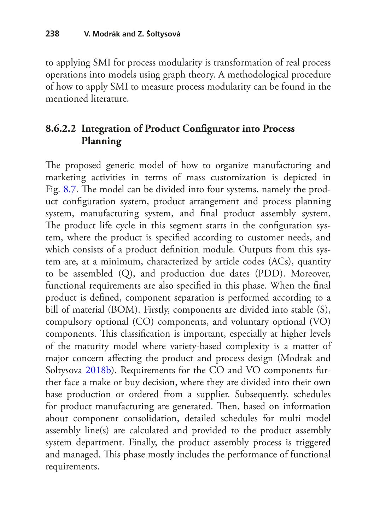to applying SMI for process modularity is transformation of real process operations into models using graph theory. A methodological procedure of how to apply SMI to measure process modularity can be found in the mentioned literature.

### **8.6.2.2 Integration of Product Confgurator into Process Planning**

The proposed generic model of how to organize manufacturing and marketing activities in terms of mass customization is depicted in Fig. [8.7](#page-24-0). The model can be divided into four systems, namely the product confguration system, product arrangement and process planning system, manufacturing system, and fnal product assembly system. The product life cycle in this segment starts in the configuration system, where the product is specifed according to customer needs, and which consists of a product definition module. Outputs from this system are, at a minimum, characterized by article codes (ACs), quantity to be assembled (Q), and production due dates (PDD). Moreover, functional requirements are also specifed in this phase. When the fnal product is defned, component separation is performed according to a bill of material (BOM). Firstly, components are divided into stable (S), compulsory optional (CO) components, and voluntary optional (VO) components. This classification is important, especially at higher levels of the maturity model where variety-based complexity is a matter of major concern afecting the product and process design (Modrak and Soltysova [2018b\)](#page-33-11). Requirements for the CO and VO components further face a make or buy decision, where they are divided into their own base production or ordered from a supplier. Subsequently, schedules for product manufacturing are generated. Then, based on information about component consolidation, detailed schedules for multi model assembly line(s) are calculated and provided to the product assembly system department. Finally, the product assembly process is triggered and managed. This phase mostly includes the performance of functional requirements.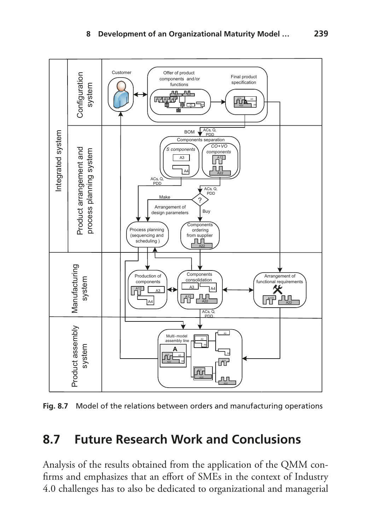

<span id="page-24-0"></span>**Fig. 8.7** Model of the relations between orders and manufacturing operations

## **8.7 Future Research Work and Conclusions**

Analysis of the results obtained from the application of the QMM confirms and emphasizes that an effort of SMEs in the context of Industry 4.0 challenges has to also be dedicated to organizational and managerial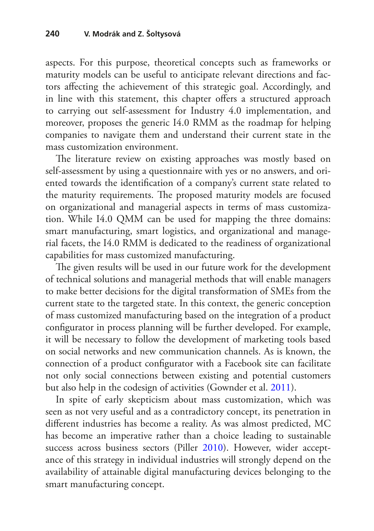aspects. For this purpose, theoretical concepts such as frameworks or maturity models can be useful to anticipate relevant directions and factors afecting the achievement of this strategic goal. Accordingly, and in line with this statement, this chapter offers a structured approach to carrying out self-assessment for Industry 4.0 implementation, and moreover, proposes the generic I4.0 RMM as the roadmap for helping companies to navigate them and understand their current state in the mass customization environment.

The literature review on existing approaches was mostly based on self-assessment by using a questionnaire with yes or no answers, and oriented towards the identifcation of a company's current state related to the maturity requirements. The proposed maturity models are focused on organizational and managerial aspects in terms of mass customization. While I4.0 QMM can be used for mapping the three domains: smart manufacturing, smart logistics, and organizational and managerial facets, the I4.0 RMM is dedicated to the readiness of organizational capabilities for mass customized manufacturing.

The given results will be used in our future work for the development of technical solutions and managerial methods that will enable managers to make better decisions for the digital transformation of SMEs from the current state to the targeted state. In this context, the generic conception of mass customized manufacturing based on the integration of a product confgurator in process planning will be further developed. For example, it will be necessary to follow the development of marketing tools based on social networks and new communication channels. As is known, the connection of a product confgurator with a Facebook site can facilitate not only social connections between existing and potential customers but also help in the codesign of activities (Gownder et al. [2011\)](#page-32-10).

In spite of early skepticism about mass customization, which was seen as not very useful and as a contradictory concept, its penetration in diferent industries has become a reality. As was almost predicted, MC has become an imperative rather than a choice leading to sustainable success across business sectors (Piller [2010](#page-34-12)). However, wider acceptance of this strategy in individual industries will strongly depend on the availability of attainable digital manufacturing devices belonging to the smart manufacturing concept.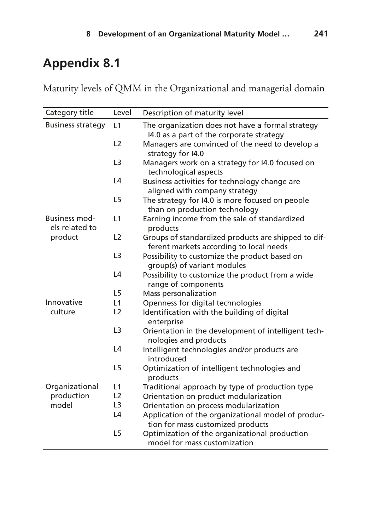<span id="page-26-0"></span>Maturity levels of QMM in the Organizational and managerial domain

| Category title                         | Level          | Description of maturity level                                                                  |
|----------------------------------------|----------------|------------------------------------------------------------------------------------------------|
| <b>Business strategy</b>               | L1             | The organization does not have a formal strategy                                               |
|                                        |                | 14.0 as a part of the corporate strategy                                                       |
|                                        | L <sub>2</sub> | Managers are convinced of the need to develop a<br>strategy for I4.0                           |
|                                        | L <sub>3</sub> | Managers work on a strategy for I4.0 focused on<br>technological aspects                       |
|                                        | L4             | Business activities for technology change are                                                  |
|                                        | L <sub>5</sub> | aligned with company strategy<br>The strategy for I4.0 is more focused on people               |
|                                        |                | than on production technology                                                                  |
| <b>Business mod-</b><br>els related to | L1             | Earning income from the sale of standardized<br>products                                       |
| product                                | L <sub>2</sub> | Groups of standardized products are shipped to dif-<br>ferent markets according to local needs |
|                                        | L <sub>3</sub> | Possibility to customize the product based on                                                  |
|                                        |                | group(s) of variant modules                                                                    |
|                                        | L <sub>4</sub> | Possibility to customize the product from a wide<br>range of components                        |
|                                        | L <sub>5</sub> | Mass personalization                                                                           |
| Innovative                             | L1             | Openness for digital technologies                                                              |
| culture                                | L <sub>2</sub> | Identification with the building of digital<br>enterprise                                      |
|                                        | L <sub>3</sub> | Orientation in the development of intelligent tech-<br>nologies and products                   |
|                                        | L4             | Intelligent technologies and/or products are<br>introduced                                     |
|                                        | L <sub>5</sub> | Optimization of intelligent technologies and                                                   |
|                                        |                | products                                                                                       |
| Organizational                         | L1             | Traditional approach by type of production type                                                |
| production                             | L <sub>2</sub> | Orientation on product modularization                                                          |
| model                                  | L <sub>3</sub> | Orientation on process modularization                                                          |
|                                        | L4             | Application of the organizational model of produc-                                             |
|                                        |                | tion for mass customized products                                                              |
|                                        | L <sub>5</sub> | Optimization of the organizational production<br>model for mass customization                  |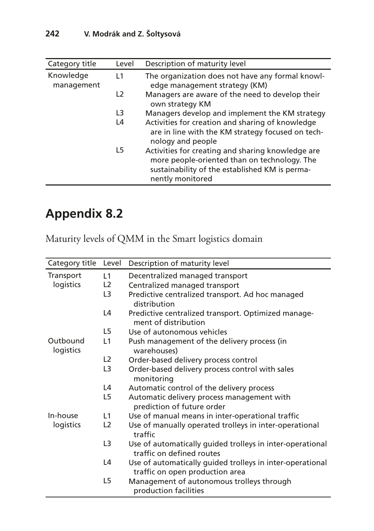| Category title          | Level          | Description of maturity level                                                                                                                                           |
|-------------------------|----------------|-------------------------------------------------------------------------------------------------------------------------------------------------------------------------|
| Knowledge<br>management | L1             | The organization does not have any formal knowl-<br>edge management strategy (KM)                                                                                       |
|                         | L <sub>2</sub> | Managers are aware of the need to develop their<br>own strategy KM                                                                                                      |
|                         | L3             | Managers develop and implement the KM strategy                                                                                                                          |
|                         | L4             | Activities for creation and sharing of knowledge<br>are in line with the KM strategy focused on tech-<br>nology and people                                              |
|                         | L5             | Activities for creating and sharing knowledge are<br>more people-oriented than on technology. The<br>sustainability of the established KM is perma-<br>nently monitored |

<span id="page-27-0"></span>Maturity levels of QMM in the Smart logistics domain

| Category title        | Level           | Description of maturity level                                                                |
|-----------------------|-----------------|----------------------------------------------------------------------------------------------|
| Transport             | L1              | Decentralized managed transport                                                              |
| logistics             | L <sub>2</sub>  | Centralized managed transport                                                                |
|                       | L3              | Predictive centralized transport. Ad hoc managed<br>distribution                             |
|                       | L4              | Predictive centralized transport. Optimized manage-<br>ment of distribution                  |
|                       | L5              | Use of autonomous vehicles                                                                   |
| Outbound<br>logistics | L1              | Push management of the delivery process (in<br>warehouses)                                   |
|                       | L <sub>2</sub>  | Order-based delivery process control                                                         |
|                       | L3              | Order-based delivery process control with sales<br>monitoring                                |
|                       | L4              | Automatic control of the delivery process                                                    |
|                       | L5              | Automatic delivery process management with<br>prediction of future order                     |
| In-house              | $\overline{11}$ | Use of manual means in inter-operational traffic                                             |
| logistics             | L <sub>2</sub>  | Use of manually operated trolleys in inter-operational<br>traffic                            |
|                       | L3              | Use of automatically quided trolleys in inter-operational<br>traffic on defined routes       |
|                       | L4              | Use of automatically quided trolleys in inter-operational<br>traffic on open production area |
|                       | L5              | Management of autonomous trolleys through<br>production facilities                           |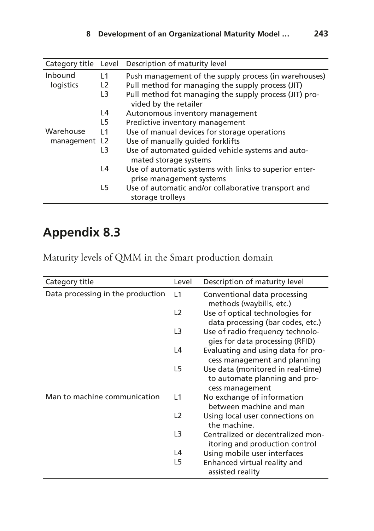| Category title | Level          | Description of maturity level                                                      |
|----------------|----------------|------------------------------------------------------------------------------------|
| Inbound        | $\overline{1}$ | Push management of the supply process (in warehouses)                              |
| logistics      | L <sub>2</sub> | Pull method for managing the supply process (JIT)                                  |
|                | L3             | Pull method fot managing the supply process (JIT) pro-<br>vided by the retailer    |
|                | L4             | Autonomous inventory management                                                    |
|                | 15             | Predictive inventory management                                                    |
| Warehouse      | $\vert$ 1      | Use of manual devices for storage operations                                       |
| management L2  |                | Use of manually quided forklifts                                                   |
|                | L3             | Use of automated quided vehicle systems and auto-<br>mated storage systems         |
|                | L4             | Use of automatic systems with links to superior enter-<br>prise management systems |
|                | L5             | Use of automatic and/or collaborative transport and<br>storage trolleys            |

<span id="page-28-0"></span>Maturity levels of QMM in the Smart production domain

| Category title                    | Level          | Description of maturity level                                                         |
|-----------------------------------|----------------|---------------------------------------------------------------------------------------|
| Data processing in the production | L1             | Conventional data processing<br>methods (waybills, etc.)                              |
|                                   | L <sub>2</sub> | Use of optical technologies for<br>data processing (bar codes, etc.)                  |
|                                   | L3             | Use of radio frequency technolo-<br>gies for data processing (RFID)                   |
|                                   | L4             | Evaluating and using data for pro-<br>cess management and planning                    |
|                                   | L <sub>5</sub> | Use data (monitored in real-time)<br>to automate planning and pro-<br>cess management |
| Man to machine communication      | L1             | No exchange of information<br>between machine and man                                 |
|                                   | L <sub>2</sub> | Using local user connections on<br>the machine.                                       |
|                                   | L <sub>3</sub> | Centralized or decentralized mon-<br>itoring and production control                   |
|                                   | L4             | Using mobile user interfaces                                                          |
|                                   | L5             | Enhanced virtual reality and<br>assisted reality                                      |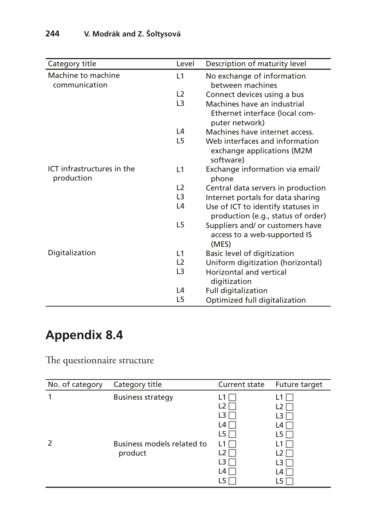| Category title                           | l evel         | Description of maturity level                                                   |
|------------------------------------------|----------------|---------------------------------------------------------------------------------|
| Machine to machine<br>communication      | L1             | No exchange of information<br>between machines                                  |
|                                          | L2             | Connect devices using a bus                                                     |
|                                          | L <sub>3</sub> | Machines have an industrial<br>Ethernet interface (local com-<br>puter network) |
|                                          | L4             | Machines have internet access.                                                  |
|                                          | L5             | Web interfaces and information<br>exchange applications (M2M<br>software)       |
| ICT infrastructures in the<br>production | L1             | Exchange information via email/<br>phone                                        |
|                                          | L <sub>2</sub> | Central data servers in production                                              |
|                                          | L <sub>3</sub> | Internet portals for data sharing                                               |
|                                          | L4             | Use of ICT to identify statuses in<br>production (e.g., status of order)        |
|                                          | L5             | Suppliers and/ or customers have<br>access to a web-supported IS<br>(MES)       |
| Digitalization                           | $\vert$ 1      | Basic level of digitization                                                     |
|                                          | L <sub>2</sub> | Uniform digitization (horizontal)                                               |
|                                          | L <sub>3</sub> | <b>Horizontal and vertical</b><br>digitization                                  |
|                                          | L4             | Full digitalization                                                             |
|                                          | L5             | Optimized full digitalization                                                   |

<span id="page-29-0"></span>The questionnaire structure

| No. of category | Category title                        | Current state                                            | Future target                  |
|-----------------|---------------------------------------|----------------------------------------------------------|--------------------------------|
|                 | <b>Business strategy</b>              | L1<br>L <sub>2</sub><br>L3 I<br>$L4\Box$                 | L3 I<br>L4 I                   |
| $\mathcal{L}$   | Business models related to<br>product | $L5\Box$<br>L <sub>1</sub><br>L2 I<br>L3 I<br>L4 I<br>L5 | L5 I<br>L2<br>L3<br>L4 I<br>L5 |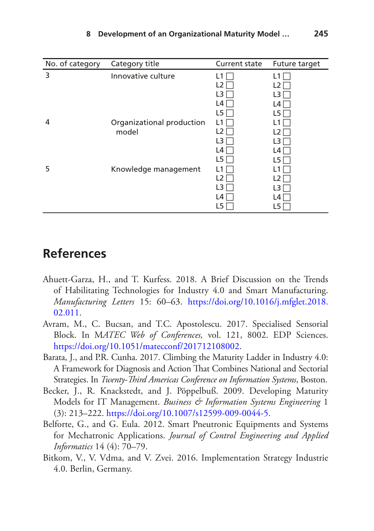| No. of category | Category title            | Current state  | Future target |
|-----------------|---------------------------|----------------|---------------|
| 3               | Innovative culture        | L1             |               |
|                 |                           | L <sub>2</sub> | L2            |
|                 |                           | L3             | L3            |
|                 |                           | L4             | L4 I          |
|                 |                           | L5             | L5            |
| 4               | Organizational production | L1             |               |
|                 | model                     | L2             | 12            |
|                 |                           | L3             | L3            |
|                 |                           | L4             | L4            |
|                 |                           | L5             | L5            |
| 5               | Knowledge management      | L1             |               |
|                 |                           | L2             |               |
|                 |                           | L3             | L3            |
|                 |                           | L4             | L4            |
|                 |                           | L5             | L5            |

## **References**

- <span id="page-30-2"></span>Ahuett-Garza, H., and T. Kurfess. 2018. A Brief Discussion on the Trends of Habilitating Technologies for Industry 4.0 and Smart Manufacturing. *Manufacturing Letters* 15: 60–63. [https://doi.org/10.1016/j.mfglet.2018.](http://dx.doi.org/10.1016/j.mfglet.2018.02.011) [02.011](http://dx.doi.org/10.1016/j.mfglet.2018.02.011).
- <span id="page-30-0"></span>Avram, M., C. Bucsan, and T.C. Apostolescu. 2017. Specialised Sensorial Block. In M*ATEC Web of Conferences,* vol. 121, 8002. EDP Sciences. [https://doi.org/10.1051/matecconf/201712108002.](http://dx.doi.org/10.1051/matecconf/201712108002)
- <span id="page-30-4"></span>Barata, J., and P.R. Cunha. 2017. Climbing the Maturity Ladder in Industry 4.0: A Framework for Diagnosis and Action That Combines National and Sectorial Strategies. In *Twenty-Tird Americas Conference on Information Systems*, Boston.
- <span id="page-30-3"></span>Becker, J., R. Knackstedt, and J. Pöppelbuß. 2009. Developing Maturity Models for IT Management. *Business & Information Systems Engineering* 1 (3): 213–222. [https://doi.org/10.1007/s12599-009-0044-5](http://dx.doi.org/10.1007/s12599-009-0044-5).
- <span id="page-30-1"></span>Belforte, G., and G. Eula. 2012. Smart Pneutronic Equipments and Systems for Mechatronic Applications. *Journal of Control Engineering and Applied Informatics* 14 (4): 70–79.
- <span id="page-30-5"></span>Bitkom, V., V. Vdma, and V. Zvei. 2016. Implementation Strategy Industrie 4.0. Berlin, Germany.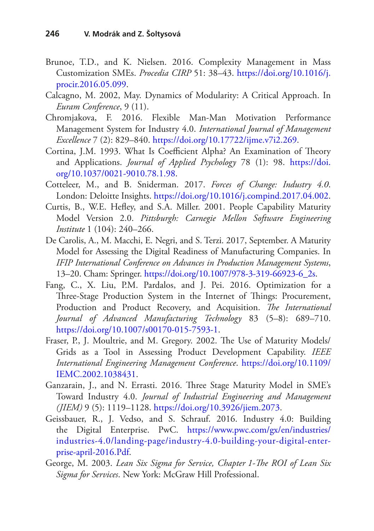- <span id="page-31-0"></span>Brunoe, T.D., and K. Nielsen. 2016. Complexity Management in Mass Customization SMEs. *Procedia CIRP* 51: 38–43. [https://doi.org/10.1016/j.](http://dx.doi.org/10.1016/j.procir.2016.05.099) [procir.2016.05.099.](http://dx.doi.org/10.1016/j.procir.2016.05.099)
- <span id="page-31-11"></span>Calcagno, M. 2002, May. Dynamics of Modularity: A Critical Approach. In *Euram Conference*, 9 (11).
- <span id="page-31-7"></span>Chromjakova, F. 2016. Flexible Man-Man Motivation Performance Management System for Industry 4.0. *International Journal of Management Excellence* 7 (2): 829–840. [https://doi.org/10.17722/ijme.v7i2.269](http://dx.doi.org/10.17722/ijme.v7i2.269).
- <span id="page-31-9"></span>Cortina, J.M. 1993. What Is Coefficient Alpha? An Examination of Theory and Applications. *Journal of Applied Psychology* 78 (1): 98. [https://doi.](http://dx.doi.org/10.1037/0021-9010.78.1.98) [org/10.1037/0021-9010.78.1.98.](http://dx.doi.org/10.1037/0021-9010.78.1.98)
- <span id="page-31-1"></span>Cotteleer, M., and B. Sniderman. 2017. *Forces of Change: Industry 4.0*. London: Deloitte Insights. [https://doi.org/10.1016/j.compind.2017.04.002.](http://dx.doi.org/10.1016/j.compind.2017.04.002)
- <span id="page-31-4"></span>Curtis, B., W.E. Hefey, and S.A. Miller. 2001. People Capability Maturity Model Version 2.0. *Pittsburgh: Carnegie Mellon Software Engineering Institute* 1 (104): 240–266.
- <span id="page-31-8"></span>De Carolis, A., M. Macchi, E. Negri, and S. Terzi. 2017, September. A Maturity Model for Assessing the Digital Readiness of Manufacturing Companies. In *IFIP International Conference on Advances in Production Management Systems*, 13–20. Cham: Springer. [https://doi.org/10.1007/978-3-319-66923-6\\_2s.](http://dx.doi.org/10.1007/978-3-319-66923-6_2s)
- <span id="page-31-2"></span>Fang, C., X. Liu, P.M. Pardalos, and J. Pei. 2016. Optimization for a Three-Stage Production System in the Internet of Things: Procurement, Production and Product Recovery, and Acquisition. *The International Journal of Advanced Manufacturing Technology* 83 (5–8): 689–710. [https://doi.org/10.1007/s00170-015-7593-1.](http://dx.doi.org/10.1007/s00170-015-7593-1)
- <span id="page-31-3"></span>Fraser, P., J. Moultrie, and M. Gregory. 2002. The Use of Maturity Models/ Grids as a Tool in Assessing Product Development Capability. *IEEE International Engineering Management Conference*. [https://doi.org/10.1109/](http://dx.doi.org/10.1109/IEMC.2002.1038431) [IEMC.2002.1038431.](http://dx.doi.org/10.1109/IEMC.2002.1038431)
- <span id="page-31-6"></span>Ganzarain, J., and N. Errasti. 2016. Three Stage Maturity Model in SME's Toward Industry 4.0. *Journal of Industrial Engineering and Management (JIEM)* 9 (5): 1119–1128. [https://doi.org/10.3926/jiem.2073](http://dx.doi.org/10.3926/jiem.2073).
- <span id="page-31-5"></span>Geissbauer, R., J. Vedso, and S. Schrauf. 2016. Industry 4.0: Building the Digital Enterprise. PwC. [https://www.pwc.com/gx/en/industries/](https://www.pwc.com/gx/en/industries/industries-4.0/landing-page/industry-4.0-building-your-digital-enterprise-april-2016.Pdf) [industries-4.0/landing-page/industry-4.0-building-your-digital-enter](https://www.pwc.com/gx/en/industries/industries-4.0/landing-page/industry-4.0-building-your-digital-enterprise-april-2016.Pdf)[prise-april-2016.Pdf.](https://www.pwc.com/gx/en/industries/industries-4.0/landing-page/industry-4.0-building-your-digital-enterprise-april-2016.Pdf)
- <span id="page-31-10"></span>George, M. 2003. *Lean Six Sigma for Service, Chapter 1-The ROI of Lean Six Sigma for Services*. New York: McGraw Hill Professional.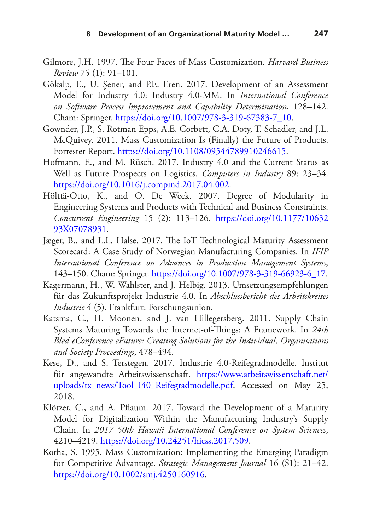- <span id="page-32-8"></span>Gilmore, J.H. 1997. The Four Faces of Mass Customization. *Harvard Business Review* 75 (1): 91–101.
- <span id="page-32-4"></span>Gökalp, E., U. Şener, and P.E. Eren. 2017. Development of an Assessment Model for Industry 4.0: Industry 4.0-MM. In *International Conference on Software Process Improvement and Capability Determination*, 128–142. Cham: Springer. [https://doi.org/10.1007/978-3-319-67383-7\\_10](http://dx.doi.org/10.1007/978-3-319-67383-7_10).
- <span id="page-32-10"></span>Gownder, J.P., S. Rotman Epps, A.E. Corbett, C.A. Doty, T. Schadler, and J.L. McQuivey. 2011. Mass Customization Is (Finally) the Future of Products. Forrester Report. [https://doi.org/10.1108/09544789910246615](http://dx.doi.org/10.1108/09544789910246615).
- <span id="page-32-1"></span>Hofmann, E., and M. Rüsch. 2017. Industry 4.0 and the Current Status as Well as Future Prospects on Logistics. *Computers in Industry* 89: 23–34. [https://doi.org/10.1016/j.compind.2017.04.002](http://dx.doi.org/10.1016/j.compind.2017.04.002).
- <span id="page-32-9"></span>Hölttä-Otto, K., and O. De Weck. 2007. Degree of Modularity in Engineering Systems and Products with Technical and Business Constraints. *Concurrent Engineering* 15 (2): 113–126. [https://doi.org/10.1177/10632](http://dx.doi.org/10.1177/1063293X07078931) [93X07078931](http://dx.doi.org/10.1177/1063293X07078931).
- <span id="page-32-5"></span>Jæger, B., and L.L. Halse. 2017. The IoT Technological Maturity Assessment Scorecard: A Case Study of Norwegian Manufacturing Companies. In *IFIP International Conference on Advances in Production Management Systems*, 143–150. Cham: Springer. [https://doi.org/10.1007/978-3-319-66923-6\\_17](http://dx.doi.org/10.1007/978-3-319-66923-6_17).
- <span id="page-32-0"></span>Kagermann, H., W. Wahlster, and J. Helbig. 2013. Umsetzungsempfehlungen für das Zukunftsprojekt Industrie 4.0. In *Abschlussbericht des Arbeitskreises Industrie* 4 (5). Frankfurt: Forschungsunion.
- <span id="page-32-3"></span>Katsma, C., H. Moonen, and J. van Hillegersberg. 2011. Supply Chain Systems Maturing Towards the Internet-of-Tings: A Framework. In *24th Bled eConference eFuture: Creating Solutions for the Individual, Organisations and Society Proceedings*, 478–494.
- <span id="page-32-2"></span>Kese, D., and S. Terstegen. 2017. Industrie 4.0-Reifegradmodelle. Institut für angewandte Arbeitswissenschaft. [https://www.arbeitswissenschaft.net/](https://www.arbeitswissenschaft.net/uploads/tx_news/Tool_I40_Reifegradmodelle.pdf) [uploads/tx\\_news/Tool\\_I40\\_Reifegradmodelle.pdf](https://www.arbeitswissenschaft.net/uploads/tx_news/Tool_I40_Reifegradmodelle.pdf), Accessed on May 25, 2018.
- <span id="page-32-6"></span>Klötzer, C., and A. Pfaum. 2017. Toward the Development of a Maturity Model for Digitalization Within the Manufacturing Industry's Supply Chain. In *2017 50th Hawaii International Conference on System Sciences*, 4210–4219. [https://doi.org/10.24251/hicss.2017.509](http://dx.doi.org/10.24251/hicss.2017.509).
- <span id="page-32-7"></span>Kotha, S. 1995. Mass Customization: Implementing the Emerging Paradigm for Competitive Advantage. *Strategic Management Journal* 16 (S1): 21–42. [https://doi.org/10.1002/smj.4250160916.](http://dx.doi.org/10.1002/smj.4250160916)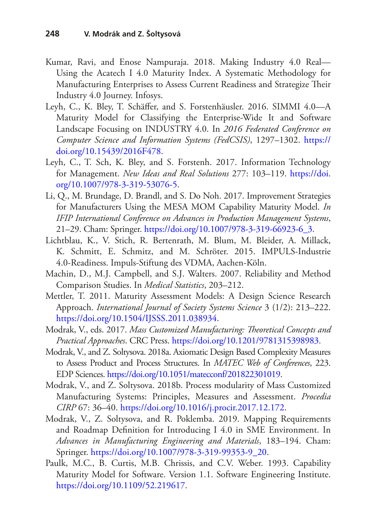- <span id="page-33-5"></span>Kumar, Ravi, and Enose Nampuraja. 2018. Making Industry 4.0 Real— Using the Acatech I 4.0 Maturity Index. A Systematic Methodology for Manufacturing Enterprises to Assess Current Readiness and Strategize Their Industry 4.0 Journey. Infosys.
- <span id="page-33-4"></span>Leyh, C., K. Bley, T. Schäfer, and S. Forstenhäusler. 2016. SIMMI 4.0—A Maturity Model for Classifying the Enterprise-Wide It and Software Landscape Focusing on INDUSTRY 4.0. In *2016 Federated Conference on Computer Science and Information Systems (FedCSIS)*, 1297–1302. [https://](http://dx.doi.org/10.15439/2016F478) [doi.org/10.15439/2016F478.](http://dx.doi.org/10.15439/2016F478)
- <span id="page-33-2"></span>Leyh, C., T. Sch, K. Bley, and S. Forstenh. 2017. Information Technology for Management. *New Ideas and Real Solutions* 277: 103–119. [https://doi.](http://dx.doi.org/10.1007/978-3-319-53076-5) [org/10.1007/978-3-319-53076-5.](http://dx.doi.org/10.1007/978-3-319-53076-5)
- <span id="page-33-6"></span>Li, Q., M. Brundage, D. Brandl, and S. Do Noh. 2017. Improvement Strategies for Manufacturers Using the MESA MOM Capability Maturity Model. *In IFIP International Conference on Advances in Production Management Systems*, 21–29. Cham: Springer. [https://doi.org/10.1007/978-3-319-66923-6\\_3.](http://dx.doi.org/10.1007/978-3-319-66923-6_3)
- <span id="page-33-3"></span>Lichtblau, K., V. Stich, R. Bertenrath, M. Blum, M. Bleider, A. Millack, K. Schmitt, E. Schmitz, and M. Schröter. 2015. IMPULS-Industrie 4.0-Readiness. Impuls-Stiftung des VDMA, Aachen-Köln.
- <span id="page-33-9"></span>Machin, D., M.J. Campbell, and S.J. Walters. 2007. Reliability and Method Comparison Studies. In *Medical Statistics*, 203–212.
- <span id="page-33-1"></span>Mettler, T. 2011. Maturity Assessment Models: A Design Science Research Approach. *International Journal of Society Systems Science* 3 (1/2): 213–222. [https://doi.org/10.1504/IJSSS.2011.038934](http://dx.doi.org/10.1504/IJSSS.2011.038934).
- <span id="page-33-0"></span>Modrak, V., eds. 2017. Mass Customized Manufacturing: Theoretical Concepts and *Practical Approaches*. CRC Press. [https://doi.org/10.1201/9781315398983.](http://dx.doi.org/10.1201/9781315398983)
- <span id="page-33-10"></span>Modrak, V., and Z. Soltysova. 2018a. Axiomatic Design Based Complexity Measures to Assess Product and Process Structures. In *MATEC Web of Conferences*, 223. EDP Sciences. [https://doi.org/10.1051/matecconf/201822301019.](http://dx.doi.org/10.1051/matecconf/201822301019)
- <span id="page-33-11"></span>Modrak, V., and Z. Soltysova. 2018b. Process modularity of Mass Customized Manufacturing Systems: Principles, Measures and Assessment. *Procedia CIRP* 67: 36–40. [https://doi.org/10.1016/j.procir.2017.12.172](http://dx.doi.org/10.1016/j.procir.2017.12.172).
- <span id="page-33-8"></span>Modrak, V., Z. Soltysova, and R. Poklemba. 2019. Mapping Requirements and Roadmap Defnition for Introducing I 4.0 in SME Environment. In *Advances in Manufacturing Engineering and Materials*, 183–194. Cham: Springer. [https://doi.org/10.1007/978-3-319-99353-9\\_20](http://dx.doi.org/10.1007/978-3-319-99353-9_20).
- <span id="page-33-7"></span>Paulk, M.C., B. Curtis, M.B. Chrissis, and C.V. Weber. 1993. Capability Maturity Model for Software. Version 1.1. Software Engineering Institute. [https://doi.org/10.1109/52.219617.](http://dx.doi.org/10.1109/52.219617)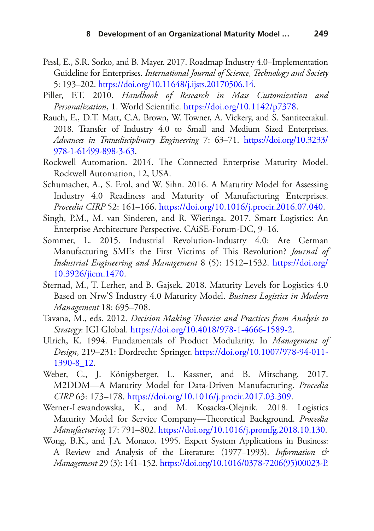- <span id="page-34-2"></span>Pessl, E., S.R. Sorko, and B. Mayer. 2017. Roadmap Industry 4.0–Implementation Guideline for Enterprises. *International Journal of Science, Technology and Society* 5: 193–202. [https://doi.org/10.11648/j.ijsts.20170506.14.](http://dx.doi.org/10.11648/j.ijsts.20170506.14)
- <span id="page-34-12"></span>Piller, F.T. 2010. *Handbook of Research in Mass Customization and Personalization*, 1. World Scientifc. [https://doi.org/10.1142/p7378.](http://dx.doi.org/10.1142/p7378)
- <span id="page-34-1"></span>Rauch, E., D.T. Matt, C.A. Brown, W. Towner, A. Vickery, and S. Santiteerakul. 2018. Transfer of Industry 4.0 to Small and Medium Sized Enterprises. *Advances in Transdisciplinary Engineering* 7: 63–71. [https://doi.org/10.3233/](http://dx.doi.org/10.3233/978-1-61499-898-3-63) [978-1-61499-898-3-63](http://dx.doi.org/10.3233/978-1-61499-898-3-63).
- <span id="page-34-7"></span>Rockwell Automation. 2014. The Connected Enterprise Maturity Model. Rockwell Automation, 12, USA.
- <span id="page-34-4"></span>Schumacher, A., S. Erol, and W. Sihn. 2016. A Maturity Model for Assessing Industry 4.0 Readiness and Maturity of Manufacturing Enterprises. *Procedia CIRP* 52: 161–166. [https://doi.org/10.1016/j.procir.2016.07.040.](http://dx.doi.org/10.1016/j.procir.2016.07.040)
- <span id="page-34-8"></span>Singh, P.M., M. van Sinderen, and R. Wieringa. 2017. Smart Logistics: An Enterprise Architecture Perspective. CAiSE-Forum*-*DC, 9–16.
- <span id="page-34-0"></span>Sommer, L. 2015. Industrial Revolution-Industry 4.0: Are German Manufacturing SMEs the First Victims of This Revolution? *Journal of Industrial Engineering and Management* 8 (5): 1512–1532. [https://doi.org/](http://dx.doi.org/10.3926/jiem.1470) [10.3926/jiem.1470](http://dx.doi.org/10.3926/jiem.1470).
- <span id="page-34-5"></span>Sternad, M., T. Lerher, and B. Gajsek. 2018. Maturity Levels for Logistics 4.0 Based on Nrw'S Industry 4.0 Maturity Model. *Business Logistics in Modern Management* 18: 695–708.
- <span id="page-34-3"></span>Tavana, M., eds. 2012. *Decision Making Theories and Practices from Analysis to Strategy*: IGI Global. [https://doi.org/10.4018/978-1-4666-1589-2](http://dx.doi.org/10.4018/978-1-4666-1589-2).
- <span id="page-34-11"></span>Ulrich, K. 1994. Fundamentals of Product Modularity. In *Management of Design*, 219–231: Dordrecht: Springer. [https://doi.org/10.1007/978-94-011-](http://dx.doi.org/10.1007/978-94-011-1390-8_12) [1390-8\\_12.](http://dx.doi.org/10.1007/978-94-011-1390-8_12)
- <span id="page-34-9"></span>Weber, C., J. Königsberger, L. Kassner, and B. Mitschang. 2017. M2DDM—A Maturity Model for Data-Driven Manufacturing. *Procedia CIRP* 63: 173–178. [https://doi.org/10.1016/j.procir.2017.03.309.](http://dx.doi.org/10.1016/j.procir.2017.03.309)
- <span id="page-34-10"></span>Werner-Lewandowska, K., and M. Kosacka-Olejnik. 2018. Logistics Maturity Model for Service Company-Theoretical Background. Procedia *Manufacturing* 17: 791–802. [https://doi.org/10.1016/j.promfg.2018.10.130.](http://dx.doi.org/10.1016/j.promfg.2018.10.130)
- <span id="page-34-6"></span>Wong, B.K., and J.A. Monaco. 1995. Expert System Applications in Business: A Review and Analysis of the Literature: (1977–1993). *Information & Management* 29 (3): 141–152. [https://doi.org/10.1016/0378-7206\(95\)00023-P.](http://dx.doi.org/10.1016/0378-7206(95)00023-P)